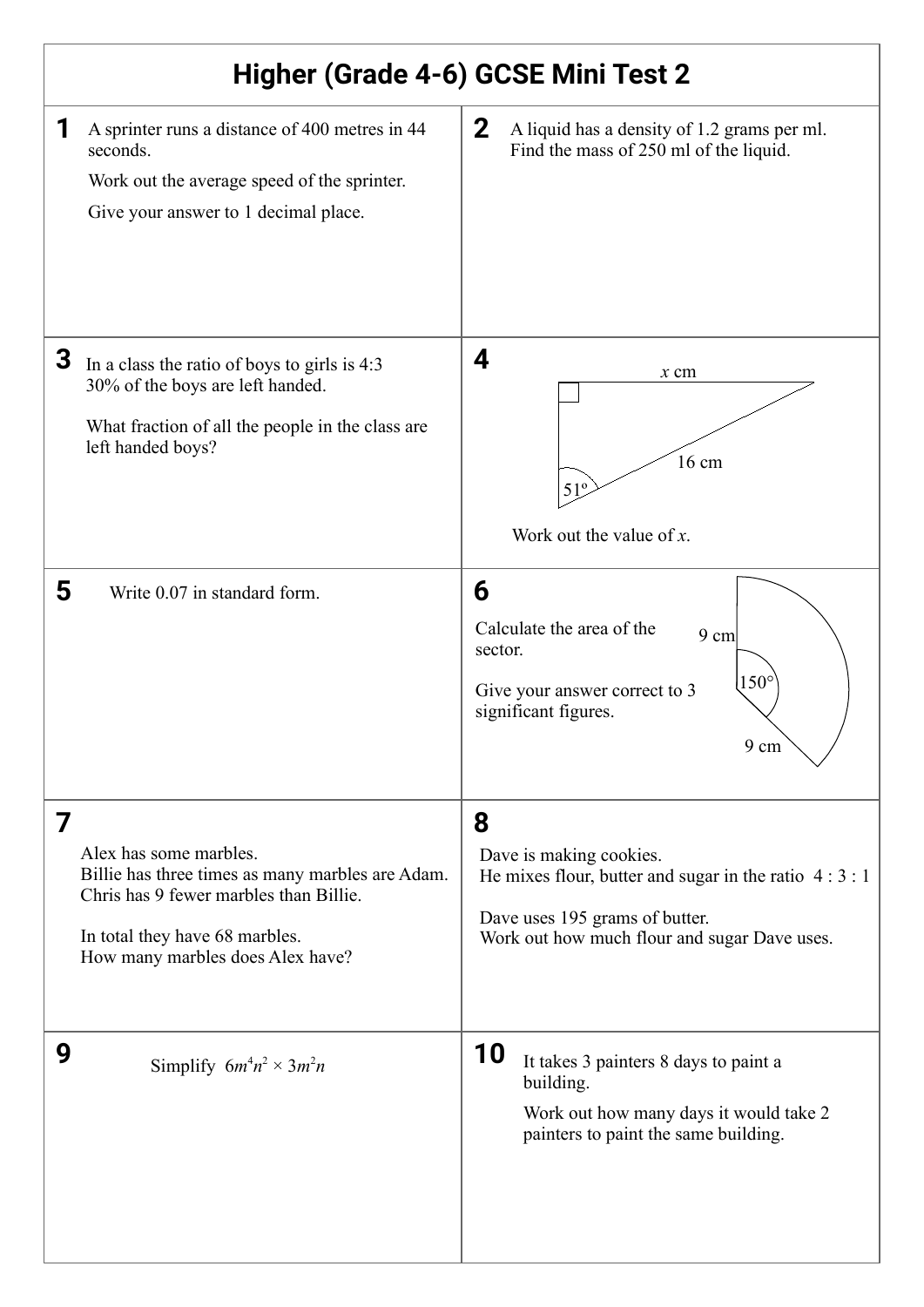| Higher (Grade 4-6) GCSE Mini Test 2                                                                                                                                                             |                                                                                                                                                                         |
|-------------------------------------------------------------------------------------------------------------------------------------------------------------------------------------------------|-------------------------------------------------------------------------------------------------------------------------------------------------------------------------|
| 1<br>A sprinter runs a distance of 400 metres in 44<br>seconds.<br>Work out the average speed of the sprinter.<br>Give your answer to 1 decimal place.                                          | $\mathbf{2}$<br>A liquid has a density of 1.2 grams per ml.<br>Find the mass of 250 ml of the liquid.                                                                   |
| 3<br>In a class the ratio of boys to girls is 4:3<br>30% of the boys are left handed.<br>What fraction of all the people in the class are<br>left handed boys?                                  | 4<br>$x$ cm<br>16 cm<br>51 <sup>o</sup><br>Work out the value of $x$ .                                                                                                  |
| 5<br>Write 0.07 in standard form.                                                                                                                                                               | 6<br>Calculate the area of the<br>$9 \text{ cm}$<br>sector.<br>$150^\circ$<br>Give your answer correct to 3<br>significant figures.<br>$9 \; \mathrm{cm}$               |
| 7<br>Alex has some marbles.<br>Billie has three times as many marbles are Adam.<br>Chris has 9 fewer marbles than Billie.<br>In total they have 68 marbles.<br>How many marbles does Alex have? | 8<br>Dave is making cookies.<br>He mixes flour, butter and sugar in the ratio $4:3:1$<br>Dave uses 195 grams of butter.<br>Work out how much flour and sugar Dave uses. |
| 9<br>Simplify $6m^4n^2 \times 3m^2n$                                                                                                                                                            | 10<br>It takes 3 painters 8 days to paint a<br>building.<br>Work out how many days it would take 2<br>painters to paint the same building.                              |